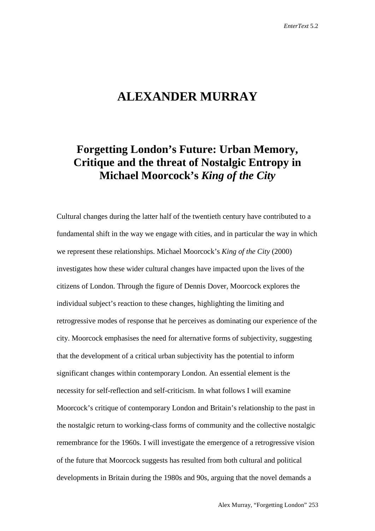# **ALEXANDER MURRAY**

# **Forgetting London's Future: Urban Memory, Critique and the threat of Nostalgic Entropy in Michael Moorcock's** *King of the City*

Cultural changes during the latter half of the twentieth century have contributed to a fundamental shift in the way we engage with cities, and in particular the way in which we represent these relationships. Michael Moorcock's *King of the City* (2000) investigates how these wider cultural changes have impacted upon the lives of the citizens of London. Through the figure of Dennis Dover, Moorcock explores the individual subject's reaction to these changes, highlighting the limiting and retrogressive modes of response that he perceives as dominating our experience of the city. Moorcock emphasises the need for alternative forms of subjectivity, suggesting that the development of a critical urban subjectivity has the potential to inform significant changes within contemporary London. An essential element is the necessity for self-reflection and self-criticism. In what follows I will examine Moorcock's critique of contemporary London and Britain's relationship to the past in the nostalgic return to working-class forms of community and the collective nostalgic remembrance for the 1960s. I will investigate the emergence of a retrogressive vision of the future that Moorcock suggests has resulted from both cultural and political developments in Britain during the 1980s and 90s, arguing that the novel demands a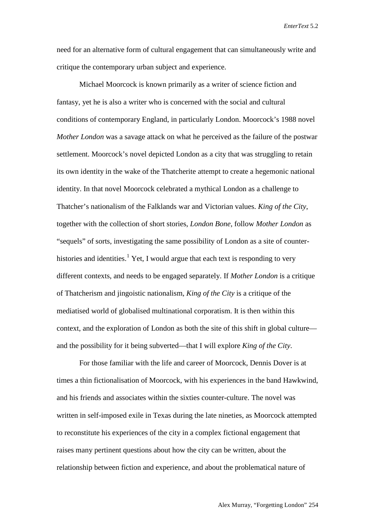need for an alternative form of cultural engagement that can simultaneously write and critique the contemporary urban subject and experience.

Michael Moorcock is known primarily as a writer of science fiction and fantasy, yet he is also a writer who is concerned with the social and cultural conditions of contemporary England, in particularly London. Moorcock's 1988 novel *Mother London* was a savage attack on what he perceived as the failure of the postwar settlement. Moorcock's novel depicted London as a city that was struggling to retain its own identity in the wake of the Thatcherite attempt to create a hegemonic national identity. In that novel Moorcock celebrated a mythical London as a challenge to Thatcher's nationalism of the Falklands war and Victorian values. *King of the City*, together with the collection of short stories, *London Bone*, follow *Mother London* as "sequels" of sorts, investigating the same possibility of London as a site of counter-histories and identities.<sup>[1](#page-27-0)</sup> Yet, I would argue that each text is responding to very different contexts, and needs to be engaged separately. If *Mother London* is a critique of Thatcherism and jingoistic nationalism, *King of the City* is a critique of the mediatised world of globalised multinational corporatism. It is then within this context, and the exploration of London as both the site of this shift in global culture and the possibility for it being subverted—that I will explore *King of the City*.

For those familiar with the life and career of Moorcock, Dennis Dover is at times a thin fictionalisation of Moorcock, with his experiences in the band Hawkwind, and his friends and associates within the sixties counter-culture. The novel was written in self-imposed exile in Texas during the late nineties, as Moorcock attempted to reconstitute his experiences of the city in a complex fictional engagement that raises many pertinent questions about how the city can be written, about the relationship between fiction and experience, and about the problematical nature of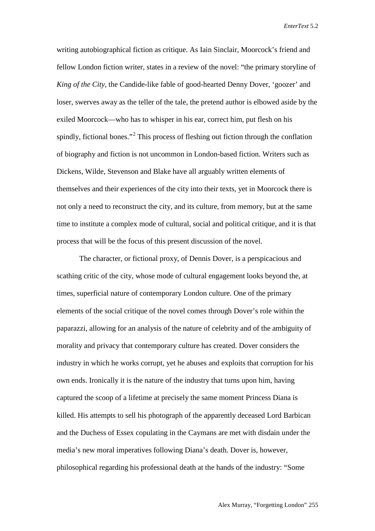writing autobiographical fiction as critique. As Iain Sinclair, Moorcock's friend and fellow London fiction writer, states in a review of the novel: "the primary storyline of *King of the City*, the Candide-like fable of good-hearted Denny Dover, 'goozer' and loser, swerves away as the teller of the tale, the pretend author is elbowed aside by the exiled Moorcock—who has to whisper in his ear, correct him, put flesh on his spindly, fictional bones."<sup>[2](#page-28-0)</sup> This process of fleshing out fiction through the conflation of biography and fiction is not uncommon in London-based fiction. Writers such as Dickens, Wilde, Stevenson and Blake have all arguably written elements of themselves and their experiences of the city into their texts, yet in Moorcock there is not only a need to reconstruct the city, and its culture, from memory, but at the same time to institute a complex mode of cultural, social and political critique, and it is that process that will be the focus of this present discussion of the novel.

The character, or fictional proxy, of Dennis Dover, is a perspicacious and scathing critic of the city, whose mode of cultural engagement looks beyond the, at times, superficial nature of contemporary London culture. One of the primary elements of the social critique of the novel comes through Dover's role within the paparazzi, allowing for an analysis of the nature of celebrity and of the ambiguity of morality and privacy that contemporary culture has created. Dover considers the industry in which he works corrupt, yet he abuses and exploits that corruption for his own ends. Ironically it is the nature of the industry that turns upon him, having captured the scoop of a lifetime at precisely the same moment Princess Diana is killed. His attempts to sell his photograph of the apparently deceased Lord Barbican and the Duchess of Essex copulating in the Caymans are met with disdain under the media's new moral imperatives following Diana's death. Dover is, however, philosophical regarding his professional death at the hands of the industry: "Some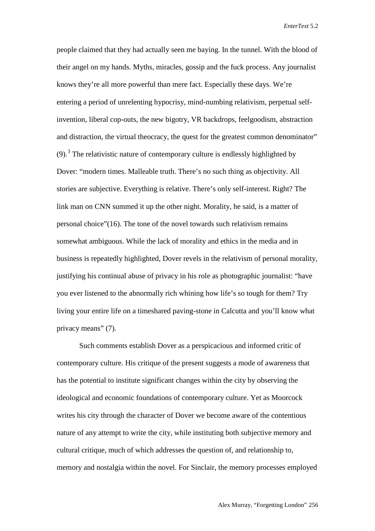people claimed that they had actually seen me baying. In the tunnel. With the blood of their angel on my hands. Myths, miracles, gossip and the fuck process. Any journalist knows they're all more powerful than mere fact. Especially these days. We're entering a period of unrelenting hypocrisy, mind-numbing relativism, perpetual selfinvention, liberal cop-outs, the new bigotry, VR backdrops, feelgoodism, abstraction and distraction, the virtual theocracy, the quest for the greatest common denominator"  $(9)$ .<sup>[3](#page-28-1)</sup> The relativistic nature of contemporary culture is endlessly highlighted by Dover: "modern times. Malleable truth. There's no such thing as objectivity. All stories are subjective. Everything is relative. There's only self-interest. Right? The link man on CNN summed it up the other night. Morality, he said, is a matter of personal choice"(16). The tone of the novel towards such relativism remains somewhat ambiguous. While the lack of morality and ethics in the media and in business is repeatedly highlighted, Dover revels in the relativism of personal morality, justifying his continual abuse of privacy in his role as photographic journalist: "have you ever listened to the abnormally rich whining how life's so tough for them? Try living your entire life on a timeshared paving-stone in Calcutta and you'll know what privacy means" (7).

Such comments establish Dover as a perspicacious and informed critic of contemporary culture. His critique of the present suggests a mode of awareness that has the potential to institute significant changes within the city by observing the ideological and economic foundations of contemporary culture. Yet as Moorcock writes his city through the character of Dover we become aware of the contentious nature of any attempt to write the city, while instituting both subjective memory and cultural critique, much of which addresses the question of, and relationship to, memory and nostalgia within the novel. For Sinclair, the memory processes employed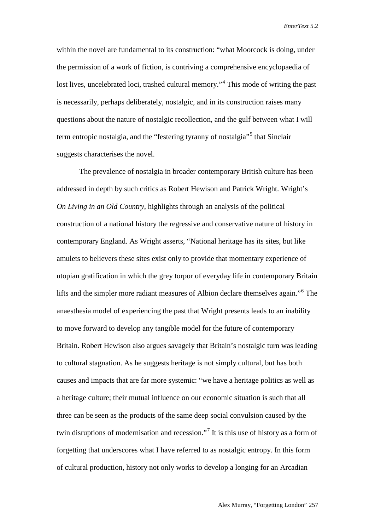within the novel are fundamental to its construction: "what Moorcock is doing, under the permission of a work of fiction, is contriving a comprehensive encyclopaedia of lost lives, uncelebrated loci, trashed cultural memory."<sup>[4](#page-28-2)</sup> This mode of writing the past is necessarily, perhaps deliberately, nostalgic, and in its construction raises many questions about the nature of nostalgic recollection, and the gulf between what I will term entropic nostalgia, and the "festering tyranny of nostalgia"<sup>[5](#page-28-3)</sup> that Sinclair suggests characterises the novel.

The prevalence of nostalgia in broader contemporary British culture has been addressed in depth by such critics as Robert Hewison and Patrick Wright. Wright's *On Living in an Old Country*, highlights through an analysis of the political construction of a national history the regressive and conservative nature of history in contemporary England. As Wright asserts, "National heritage has its sites, but like amulets to believers these sites exist only to provide that momentary experience of utopian gratification in which the grey torpor of everyday life in contemporary Britain lifts and the simpler more radiant measures of Albion declare themselves again."[6](#page-28-4) The anaesthesia model of experiencing the past that Wright presents leads to an inability to move forward to develop any tangible model for the future of contemporary Britain. Robert Hewison also argues savagely that Britain's nostalgic turn was leading to cultural stagnation. As he suggests heritage is not simply cultural, but has both causes and impacts that are far more systemic: "we have a heritage politics as well as a heritage culture; their mutual influence on our economic situation is such that all three can be seen as the products of the same deep social convulsion caused by the twin disruptions of modernisation and recession."<sup>[7](#page-28-5)</sup> It is this use of history as a form of forgetting that underscores what I have referred to as nostalgic entropy. In this form of cultural production, history not only works to develop a longing for an Arcadian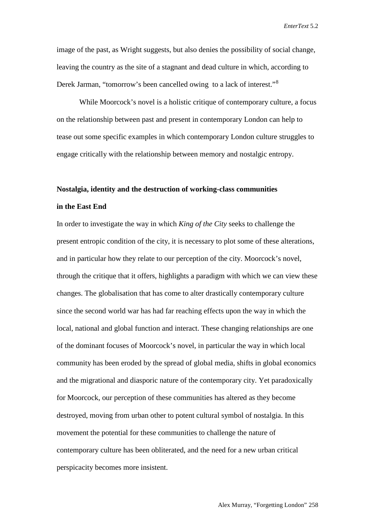image of the past, as Wright suggests, but also denies the possibility of social change, leaving the country as the site of a stagnant and dead culture in which, according to Derek Jarman, "tomorrow's been cancelled owing to a lack of interest."<sup>[8](#page-28-6)</sup>

While Moorcock's novel is a holistic critique of contemporary culture, a focus on the relationship between past and present in contemporary London can help to tease out some specific examples in which contemporary London culture struggles to engage critically with the relationship between memory and nostalgic entropy.

#### **Nostalgia, identity and the destruction of working-class communities**

### **in the East End**

In order to investigate the way in which *King of the City* seeks to challenge the present entropic condition of the city, it is necessary to plot some of these alterations, and in particular how they relate to our perception of the city. Moorcock's novel, through the critique that it offers, highlights a paradigm with which we can view these changes. The globalisation that has come to alter drastically contemporary culture since the second world war has had far reaching effects upon the way in which the local, national and global function and interact. These changing relationships are one of the dominant focuses of Moorcock's novel, in particular the way in which local community has been eroded by the spread of global media, shifts in global economics and the migrational and diasporic nature of the contemporary city. Yet paradoxically for Moorcock, our perception of these communities has altered as they become destroyed, moving from urban other to potent cultural symbol of nostalgia. In this movement the potential for these communities to challenge the nature of contemporary culture has been obliterated, and the need for a new urban critical perspicacity becomes more insistent.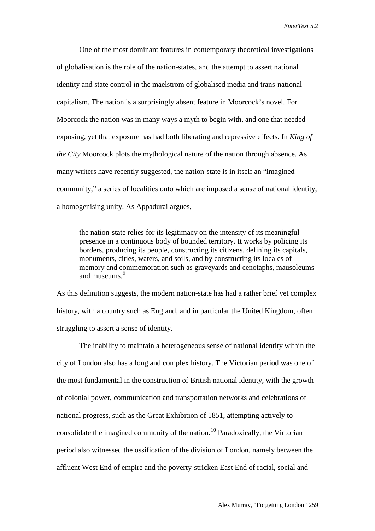One of the most dominant features in contemporary theoretical investigations of globalisation is the role of the nation-states, and the attempt to assert national identity and state control in the maelstrom of globalised media and trans-national capitalism. The nation is a surprisingly absent feature in Moorcock's novel. For Moorcock the nation was in many ways a myth to begin with, and one that needed exposing, yet that exposure has had both liberating and repressive effects. In *King of the City* Moorcock plots the mythological nature of the nation through absence. As many writers have recently suggested, the nation-state is in itself an "imagined community," a series of localities onto which are imposed a sense of national identity, a homogenising unity. As Appadurai argues,

the nation-state relies for its legitimacy on the intensity of its meaningful presence in a continuous body of bounded territory. It works by policing its borders, producing its people, constructing its citizens, defining its capitals, monuments, cities, waters, and soils, and by constructing its locales of memory and commemoration such as graveyards and cenotaphs, mausoleums and museums.<sup>[9](#page-28-7)</sup>

As this definition suggests, the modern nation-state has had a rather brief yet complex history, with a country such as England, and in particular the United Kingdom, often struggling to assert a sense of identity.

The inability to maintain a heterogeneous sense of national identity within the city of London also has a long and complex history. The Victorian period was one of the most fundamental in the construction of British national identity, with the growth of colonial power, communication and transportation networks and celebrations of national progress, such as the Great Exhibition of 1851, attempting actively to consolidate the imagined community of the nation.<sup>[10](#page-28-8)</sup> Paradoxically, the Victorian period also witnessed the ossification of the division of London, namely between the affluent West End of empire and the poverty-stricken East End of racial, social and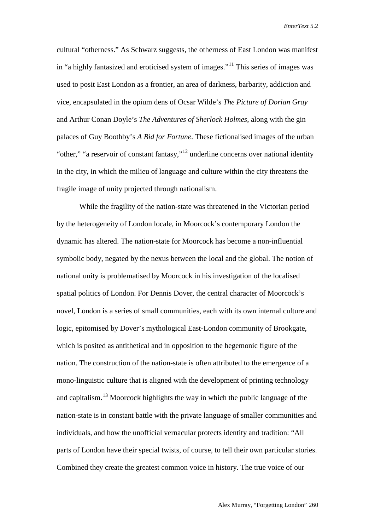cultural "otherness." As Schwarz suggests, the otherness of East London was manifest in "a highly fantasized and eroticised system of images."[11](#page-28-9) This series of images was used to posit East London as a frontier, an area of darkness, barbarity, addiction and vice, encapsulated in the opium dens of Ocsar Wilde's *The Picture of Dorian Gray* and Arthur Conan Doyle's *The Adventures of Sherlock Holmes*, along with the gin palaces of Guy Boothby's *A Bid for Fortune*. These fictionalised images of the urban "other," "a reservoir of constant fantasy,"<sup>[12](#page-28-10)</sup> underline concerns over national identity in the city, in which the milieu of language and culture within the city threatens the fragile image of unity projected through nationalism.

While the fragility of the nation-state was threatened in the Victorian period by the heterogeneity of London locale, in Moorcock's contemporary London the dynamic has altered. The nation-state for Moorcock has become a non-influential symbolic body, negated by the nexus between the local and the global. The notion of national unity is problematised by Moorcock in his investigation of the localised spatial politics of London. For Dennis Dover, the central character of Moorcock's novel, London is a series of small communities, each with its own internal culture and logic, epitomised by Dover's mythological East-London community of Brookgate, which is posited as antithetical and in opposition to the hegemonic figure of the nation. The construction of the nation-state is often attributed to the emergence of a mono-linguistic culture that is aligned with the development of printing technology and capitalism.[13](#page-28-11) Moorcock highlights the way in which the public language of the nation-state is in constant battle with the private language of smaller communities and individuals, and how the unofficial vernacular protects identity and tradition: "All parts of London have their special twists, of course, to tell their own particular stories. Combined they create the greatest common voice in history. The true voice of our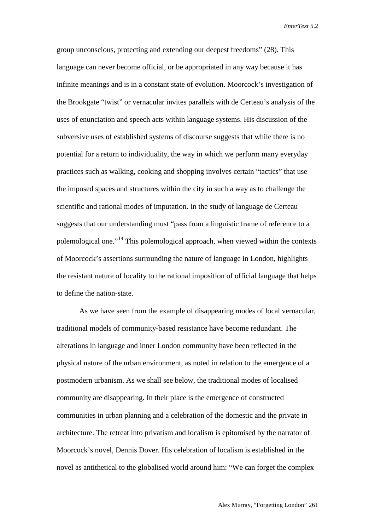group unconscious, protecting and extending our deepest freedoms" (28). This language can never become official, or be appropriated in any way because it has infinite meanings and is in a constant state of evolution. Moorcock's investigation of the Brookgate "twist" or vernacular invites parallels with de Certeau's analysis of the uses of enunciation and speech acts within language systems. His discussion of the subversive uses of established systems of discourse suggests that while there is no potential for a return to individuality, the way in which we perform many everyday practices such as walking, cooking and shopping involves certain "tactics" that use the imposed spaces and structures within the city in such a way as to challenge the scientific and rational modes of imputation. In the study of language de Certeau suggests that our understanding must "pass from a linguistic frame of reference to a polemological one."[14](#page-28-12) This polemological approach, when viewed within the contexts of Moorcock's assertions surrounding the nature of language in London, highlights the resistant nature of locality to the rational imposition of official language that helps to define the nation-state.

As we have seen from the example of disappearing modes of local vernacular, traditional models of community-based resistance have become redundant. The alterations in language and inner London community have been reflected in the physical nature of the urban environment, as noted in relation to the emergence of a postmodern urbanism. As we shall see below, the traditional modes of localised community are disappearing. In their place is the emergence of constructed communities in urban planning and a celebration of the domestic and the private in architecture. The retreat into privatism and localism is epitomised by the narrator of Moorcock's novel, Dennis Dover. His celebration of localism is established in the novel as antithetical to the globalised world around him: "We can forget the complex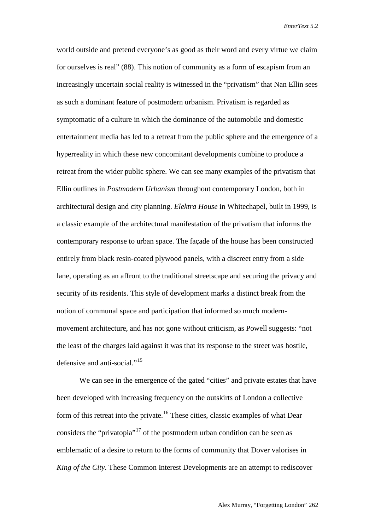world outside and pretend everyone's as good as their word and every virtue we claim for ourselves is real" (88). This notion of community as a form of escapism from an increasingly uncertain social reality is witnessed in the "privatism" that Nan Ellin sees as such a dominant feature of postmodern urbanism. Privatism is regarded as symptomatic of a culture in which the dominance of the automobile and domestic entertainment media has led to a retreat from the public sphere and the emergence of a hyperreality in which these new concomitant developments combine to produce a retreat from the wider public sphere. We can see many examples of the privatism that Ellin outlines in *Postmodern Urbanism* throughout contemporary London, both in architectural design and city planning. *Elektra House* in Whitechapel, built in 1999, is a classic example of the architectural manifestation of the privatism that informs the contemporary response to urban space. The façade of the house has been constructed entirely from black resin-coated plywood panels, with a discreet entry from a side lane, operating as an affront to the traditional streetscape and securing the privacy and security of its residents. This style of development marks a distinct break from the notion of communal space and participation that informed so much modernmovement architecture, and has not gone without criticism, as Powell suggests: "not the least of the charges laid against it was that its response to the street was hostile, defensive and anti-social."[15](#page-28-13)

We can see in the emergence of the gated "cities" and private estates that have been developed with increasing frequency on the outskirts of London a collective form of this retreat into the private.<sup>[16](#page-28-14)</sup> These cities, classic examples of what Dear considers the "privatopia"<sup>[17](#page-28-15)</sup> of the postmodern urban condition can be seen as emblematic of a desire to return to the forms of community that Dover valorises in *King of the City*. These Common Interest Developments are an attempt to rediscover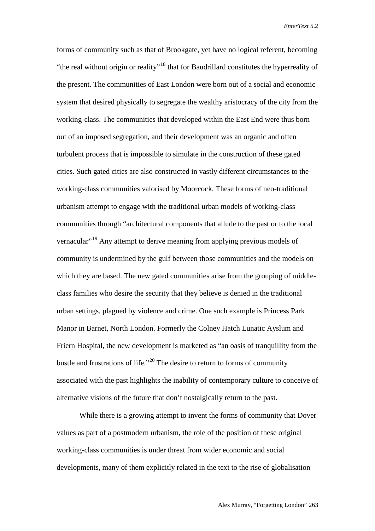forms of community such as that of Brookgate, yet have no logical referent, becoming "the real without origin or reality"[18](#page-28-16) that for Baudrillard constitutes the hyperreality of the present. The communities of East London were born out of a social and economic system that desired physically to segregate the wealthy aristocracy of the city from the working-class. The communities that developed within the East End were thus born out of an imposed segregation, and their development was an organic and often turbulent process that is impossible to simulate in the construction of these gated cities. Such gated cities are also constructed in vastly different circumstances to the working-class communities valorised by Moorcock. These forms of neo-traditional urbanism attempt to engage with the traditional urban models of working-class communities through "architectural components that allude to the past or to the local vernacular"<sup>[19](#page-28-17)</sup> Any attempt to derive meaning from applying previous models of community is undermined by the gulf between those communities and the models on which they are based. The new gated communities arise from the grouping of middleclass families who desire the security that they believe is denied in the traditional urban settings, plagued by violence and crime. One such example is Princess Park Manor in Barnet, North London. Formerly the Colney Hatch Lunatic Ayslum and Friern Hospital, the new development is marketed as "an oasis of tranquillity from the bustle and frustrations of life."<sup>[20](#page-28-18)</sup> The desire to return to forms of community associated with the past highlights the inability of contemporary culture to conceive of alternative visions of the future that don't nostalgically return to the past.

While there is a growing attempt to invent the forms of community that Dover values as part of a postmodern urbanism, the role of the position of these original working-class communities is under threat from wider economic and social developments, many of them explicitly related in the text to the rise of globalisation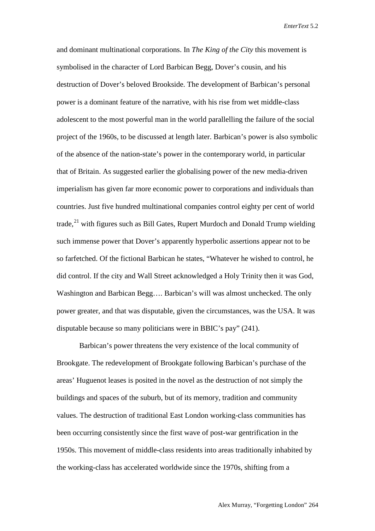and dominant multinational corporations. In *The King of the City* this movement is symbolised in the character of Lord Barbican Begg, Dover's cousin, and his destruction of Dover's beloved Brookside. The development of Barbican's personal power is a dominant feature of the narrative, with his rise from wet middle-class adolescent to the most powerful man in the world parallelling the failure of the social project of the 1960s, to be discussed at length later. Barbican's power is also symbolic of the absence of the nation-state's power in the contemporary world, in particular that of Britain. As suggested earlier the globalising power of the new media-driven imperialism has given far more economic power to corporations and individuals than countries. Just five hundred multinational companies control eighty per cent of world trade,<sup>[21](#page-28-19)</sup> with figures such as Bill Gates, Rupert Murdoch and Donald Trump wielding such immense power that Dover's apparently hyperbolic assertions appear not to be so farfetched. Of the fictional Barbican he states, "Whatever he wished to control, he did control. If the city and Wall Street acknowledged a Holy Trinity then it was God, Washington and Barbican Begg…. Barbican's will was almost unchecked. The only power greater, and that was disputable, given the circumstances, was the USA. It was disputable because so many politicians were in BBIC's pay" (241).

Barbican's power threatens the very existence of the local community of Brookgate. The redevelopment of Brookgate following Barbican's purchase of the areas' Huguenot leases is posited in the novel as the destruction of not simply the buildings and spaces of the suburb, but of its memory, tradition and community values. The destruction of traditional East London working-class communities has been occurring consistently since the first wave of post-war gentrification in the 1950s. This movement of middle-class residents into areas traditionally inhabited by the working-class has accelerated worldwide since the 1970s, shifting from a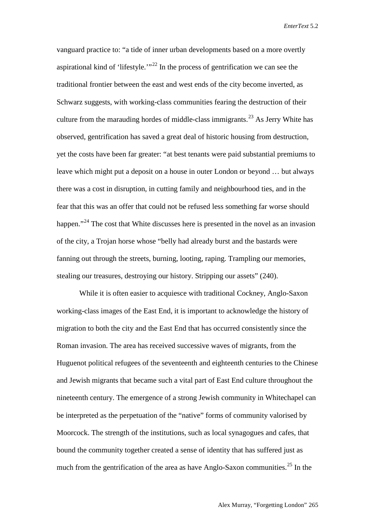vanguard practice to: "a tide of inner urban developments based on a more overtly aspirational kind of 'lifestyle.' $12<sup>22</sup>$  $12<sup>22</sup>$  $12<sup>22</sup>$  In the process of gentrification we can see the traditional frontier between the east and west ends of the city become inverted, as Schwarz suggests, with working-class communities fearing the destruction of their culture from the marauding hordes of middle-class immigrants.<sup>[23](#page-28-21)</sup> As Jerry White has observed, gentrification has saved a great deal of historic housing from destruction, yet the costs have been far greater: "at best tenants were paid substantial premiums to leave which might put a deposit on a house in outer London or beyond … but always there was a cost in disruption, in cutting family and neighbourhood ties, and in the fear that this was an offer that could not be refused less something far worse should happen."<sup>[24](#page-28-22)</sup> The cost that White discusses here is presented in the novel as an invasion of the city, a Trojan horse whose "belly had already burst and the bastards were fanning out through the streets, burning, looting, raping. Trampling our memories, stealing our treasures, destroying our history. Stripping our assets" (240).

While it is often easier to acquiesce with traditional Cockney, Anglo-Saxon working-class images of the East End, it is important to acknowledge the history of migration to both the city and the East End that has occurred consistently since the Roman invasion. The area has received successive waves of migrants, from the Huguenot political refugees of the seventeenth and eighteenth centuries to the Chinese and Jewish migrants that became such a vital part of East End culture throughout the nineteenth century. The emergence of a strong Jewish community in Whitechapel can be interpreted as the perpetuation of the "native" forms of community valorised by Moorcock. The strength of the institutions, such as local synagogues and cafes, that bound the community together created a sense of identity that has suffered just as much from the gentrification of the area as have Anglo-Saxon communities.<sup>[25](#page-28-23)</sup> In the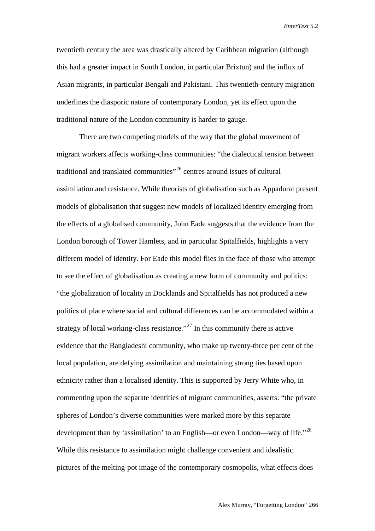twentieth century the area was drastically altered by Caribbean migration (although this had a greater impact in South London, in particular Brixton) and the influx of Asian migrants, in particular Bengali and Pakistani. This twentieth-century migration underlines the diasporic nature of contemporary London, yet its effect upon the traditional nature of the London community is harder to gauge.

There are two competing models of the way that the global movement of migrant workers affects working-class communities: "the dialectical tension between traditional and translated communities"[26](#page-28-24) centres around issues of cultural assimilation and resistance. While theorists of globalisation such as Appadurai present models of globalisation that suggest new models of localized identity emerging from the effects of a globalised community, John Eade suggests that the evidence from the London borough of Tower Hamlets, and in particular Spitalfields, highlights a very different model of identity. For Eade this model flies in the face of those who attempt to see the effect of globalisation as creating a new form of community and politics: "the globalization of locality in Docklands and Spitalfields has not produced a new politics of place where social and cultural differences can be accommodated within a strategy of local working-class resistance."<sup>[27](#page-28-25)</sup> In this community there is active evidence that the Bangladeshi community, who make up twenty-three per cent of the local population, are defying assimilation and maintaining strong ties based upon ethnicity rather than a localised identity. This is supported by Jerry White who, in commenting upon the separate identities of migrant communities, asserts: "the private spheres of London's diverse communities were marked more by this separate development than by 'assimilation' to an English—or even London—way of life."<sup>[28](#page-28-26)</sup> While this resistance to assimilation might challenge convenient and idealistic pictures of the melting-pot image of the contemporary cosmopolis, what effects does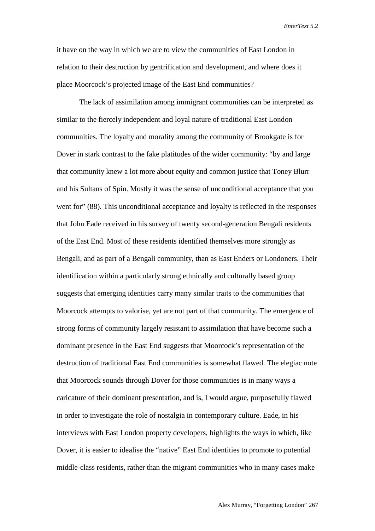it have on the way in which we are to view the communities of East London in relation to their destruction by gentrification and development, and where does it place Moorcock's projected image of the East End communities?

The lack of assimilation among immigrant communities can be interpreted as similar to the fiercely independent and loyal nature of traditional East London communities. The loyalty and morality among the community of Brookgate is for Dover in stark contrast to the fake platitudes of the wider community: "by and large that community knew a lot more about equity and common justice that Toney Blurr and his Sultans of Spin. Mostly it was the sense of unconditional acceptance that you went for" (88). This unconditional acceptance and loyalty is reflected in the responses that John Eade received in his survey of twenty second-generation Bengali residents of the East End. Most of these residents identified themselves more strongly as Bengali, and as part of a Bengali community, than as East Enders or Londoners. Their identification within a particularly strong ethnically and culturally based group suggests that emerging identities carry many similar traits to the communities that Moorcock attempts to valorise, yet are not part of that community. The emergence of strong forms of community largely resistant to assimilation that have become such a dominant presence in the East End suggests that Moorcock's representation of the destruction of traditional East End communities is somewhat flawed. The elegiac note that Moorcock sounds through Dover for those communities is in many ways a caricature of their dominant presentation, and is, I would argue, purposefully flawed in order to investigate the role of nostalgia in contemporary culture. Eade, in his interviews with East London property developers, highlights the ways in which, like Dover, it is easier to idealise the "native" East End identities to promote to potential middle-class residents, rather than the migrant communities who in many cases make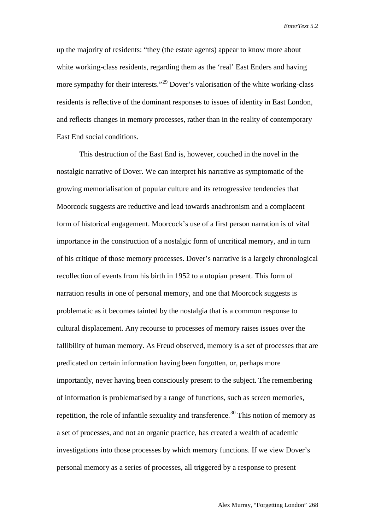up the majority of residents: "they (the estate agents) appear to know more about white working-class residents, regarding them as the 'real' East Enders and having more sympathy for their interests."<sup>[29](#page-28-27)</sup> Dover's valorisation of the white working-class residents is reflective of the dominant responses to issues of identity in East London, and reflects changes in memory processes, rather than in the reality of contemporary East End social conditions.

This destruction of the East End is, however, couched in the novel in the nostalgic narrative of Dover. We can interpret his narrative as symptomatic of the growing memorialisation of popular culture and its retrogressive tendencies that Moorcock suggests are reductive and lead towards anachronism and a complacent form of historical engagement. Moorcock's use of a first person narration is of vital importance in the construction of a nostalgic form of uncritical memory, and in turn of his critique of those memory processes. Dover's narrative is a largely chronological recollection of events from his birth in 1952 to a utopian present. This form of narration results in one of personal memory, and one that Moorcock suggests is problematic as it becomes tainted by the nostalgia that is a common response to cultural displacement. Any recourse to processes of memory raises issues over the fallibility of human memory. As Freud observed, memory is a set of processes that are predicated on certain information having been forgotten, or, perhaps more importantly, never having been consciously present to the subject. The remembering of information is problematised by a range of functions, such as screen memories, repetition, the role of infantile sexuality and transference.<sup>[30](#page-28-28)</sup> This notion of memory as a set of processes, and not an organic practice, has created a wealth of academic investigations into those processes by which memory functions. If we view Dover's personal memory as a series of processes, all triggered by a response to present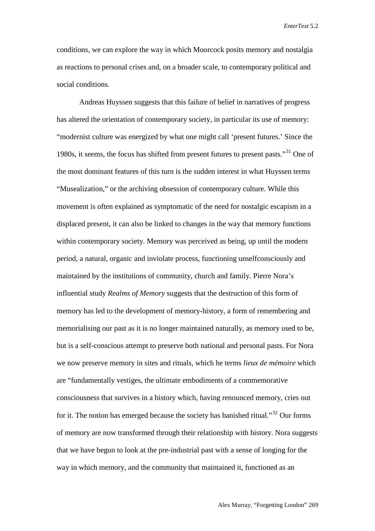conditions, we can explore the way in which Moorcock posits memory and nostalgia as reactions to personal crises and, on a broader scale, to contemporary political and social conditions.

Andreas Huyssen suggests that this failure of belief in narratives of progress has altered the orientation of contemporary society, in particular its use of memory: "modernist culture was energized by what one might call 'present futures.' Since the 1980s, it seems, the focus has shifted from present futures to present pasts."<sup>[31](#page-28-29)</sup> One of the most dominant features of this turn is the sudden interest in what Huyssen terms "Musealization," or the archiving obsession of contemporary culture. While this movement is often explained as symptomatic of the need for nostalgic escapism in a displaced present, it can also be linked to changes in the way that memory functions within contemporary society. Memory was perceived as being, up until the modern period, a natural, organic and inviolate process, functioning unselfconsciously and maintained by the institutions of community, church and family. Pierre Nora's influential study *Realms of Memory* suggests that the destruction of this form of memory has led to the development of memory-history, a form of remembering and memorialising our past as it is no longer maintained naturally, as memory used to be, but is a self-conscious attempt to preserve both national and personal pasts. For Nora we now preserve memory in sites and rituals, which he terms *lieux de mémoire* which are "fundamentally vestiges, the ultimate embodiments of a commemorative consciousness that survives in a history which, having renounced memory, cries out for it. The notion has emerged because the society has banished ritual."<sup>[32](#page-28-30)</sup> Our forms of memory are now transformed through their relationship with history. Nora suggests that we have begun to look at the pre-industrial past with a sense of longing for the way in which memory, and the community that maintained it, functioned as an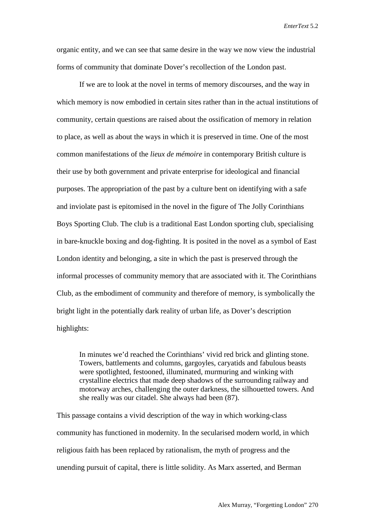organic entity, and we can see that same desire in the way we now view the industrial forms of community that dominate Dover's recollection of the London past.

If we are to look at the novel in terms of memory discourses, and the way in which memory is now embodied in certain sites rather than in the actual institutions of community, certain questions are raised about the ossification of memory in relation to place, as well as about the ways in which it is preserved in time. One of the most common manifestations of the *lieux de mémoire* in contemporary British culture is their use by both government and private enterprise for ideological and financial purposes. The appropriation of the past by a culture bent on identifying with a safe and inviolate past is epitomised in the novel in the figure of The Jolly Corinthians Boys Sporting Club. The club is a traditional East London sporting club, specialising in bare-knuckle boxing and dog-fighting. It is posited in the novel as a symbol of East London identity and belonging, a site in which the past is preserved through the informal processes of community memory that are associated with it. The Corinthians Club, as the embodiment of community and therefore of memory, is symbolically the bright light in the potentially dark reality of urban life, as Dover's description highlights:

In minutes we'd reached the Corinthians' vivid red brick and glinting stone. Towers, battlements and columns, gargoyles, caryatids and fabulous beasts were spotlighted, festooned, illuminated, murmuring and winking with crystalline electrics that made deep shadows of the surrounding railway and motorway arches, challenging the outer darkness, the silhouetted towers. And she really was our citadel. She always had been (87).

This passage contains a vivid description of the way in which working-class community has functioned in modernity. In the secularised modern world, in which religious faith has been replaced by rationalism, the myth of progress and the unending pursuit of capital, there is little solidity. As Marx asserted, and Berman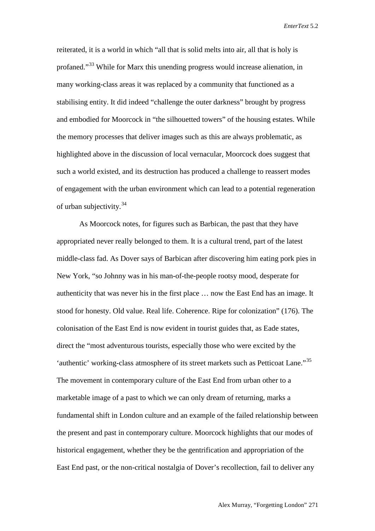reiterated, it is a world in which "all that is solid melts into air, all that is holy is profaned."[33](#page-28-31) While for Marx this unending progress would increase alienation, in many working-class areas it was replaced by a community that functioned as a stabilising entity. It did indeed "challenge the outer darkness" brought by progress and embodied for Moorcock in "the silhouetted towers" of the housing estates. While the memory processes that deliver images such as this are always problematic, as highlighted above in the discussion of local vernacular, Moorcock does suggest that such a world existed, and its destruction has produced a challenge to reassert modes of engagement with the urban environment which can lead to a potential regeneration of urban subjectivity.[34](#page-28-32)

As Moorcock notes, for figures such as Barbican, the past that they have appropriated never really belonged to them. It is a cultural trend, part of the latest middle-class fad. As Dover says of Barbican after discovering him eating pork pies in New York, "so Johnny was in his man-of-the-people rootsy mood, desperate for authenticity that was never his in the first place … now the East End has an image. It stood for honesty. Old value. Real life. Coherence. Ripe for colonization" (176). The colonisation of the East End is now evident in tourist guides that, as Eade states, direct the "most adventurous tourists, especially those who were excited by the 'authentic' working-class atmosphere of its street markets such as Petticoat Lane."<sup>[35](#page-28-12)</sup> The movement in contemporary culture of the East End from urban other to a marketable image of a past to which we can only dream of returning, marks a fundamental shift in London culture and an example of the failed relationship between the present and past in contemporary culture. Moorcock highlights that our modes of historical engagement, whether they be the gentrification and appropriation of the East End past, or the non-critical nostalgia of Dover's recollection, fail to deliver any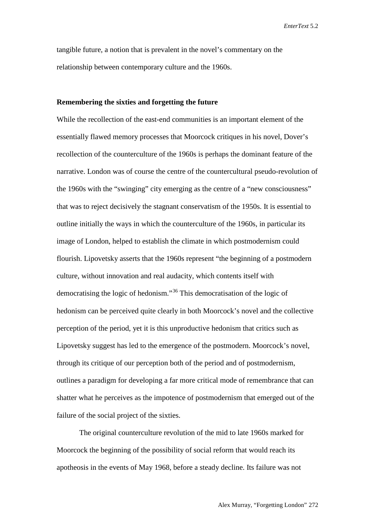tangible future, a notion that is prevalent in the novel's commentary on the relationship between contemporary culture and the 1960s.

### **Remembering the sixties and forgetting the future**

While the recollection of the east-end communities is an important element of the essentially flawed memory processes that Moorcock critiques in his novel, Dover's recollection of the counterculture of the 1960s is perhaps the dominant feature of the narrative. London was of course the centre of the countercultural pseudo-revolution of the 1960s with the "swinging" city emerging as the centre of a "new consciousness" that was to reject decisively the stagnant conservatism of the 1950s. It is essential to outline initially the ways in which the counterculture of the 1960s, in particular its image of London, helped to establish the climate in which postmodernism could flourish. Lipovetsky asserts that the 1960s represent "the beginning of a postmodern culture, without innovation and real audacity, which contents itself with democratising the logic of hedonism."[36](#page-28-33) This democratisation of the logic of hedonism can be perceived quite clearly in both Moorcock's novel and the collective perception of the period, yet it is this unproductive hedonism that critics such as Lipovetsky suggest has led to the emergence of the postmodern. Moorcock's novel, through its critique of our perception both of the period and of postmodernism, outlines a paradigm for developing a far more critical mode of remembrance that can shatter what he perceives as the impotence of postmodernism that emerged out of the failure of the social project of the sixties.

The original counterculture revolution of the mid to late 1960s marked for Moorcock the beginning of the possibility of social reform that would reach its apotheosis in the events of May 1968, before a steady decline. Its failure was not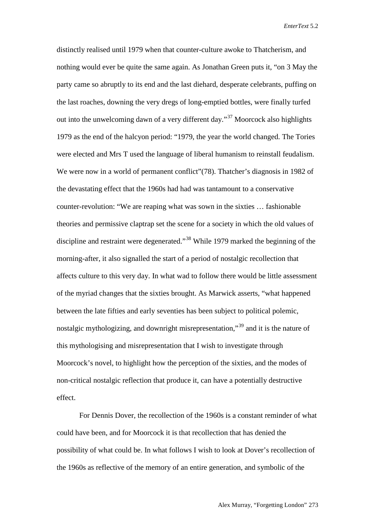distinctly realised until 1979 when that counter-culture awoke to Thatcherism, and nothing would ever be quite the same again. As Jonathan Green puts it, "on 3 May the party came so abruptly to its end and the last diehard, desperate celebrants, puffing on the last roaches, downing the very dregs of long-emptied bottles, were finally turfed out into the unwelcoming dawn of a very different day."[37](#page-28-14) Moorcock also highlights 1979 as the end of the halcyon period: "1979, the year the world changed. The Tories were elected and Mrs T used the language of liberal humanism to reinstall feudalism. We were now in a world of permanent conflict"(78). Thatcher's diagnosis in 1982 of the devastating effect that the 1960s had had was tantamount to a conservative counter-revolution: "We are reaping what was sown in the sixties … fashionable theories and permissive claptrap set the scene for a society in which the old values of discipline and restraint were degenerated."[38](#page-28-34) While 1979 marked the beginning of the morning-after, it also signalled the start of a period of nostalgic recollection that affects culture to this very day. In what wad to follow there would be little assessment of the myriad changes that the sixties brought. As Marwick asserts, "what happened between the late fifties and early seventies has been subject to political polemic, nostalgic mythologizing, and downright misrepresentation.<sup>[39](#page-28-16)</sup> and it is the nature of this mythologising and misrepresentation that I wish to investigate through Moorcock's novel, to highlight how the perception of the sixties, and the modes of non-critical nostalgic reflection that produce it, can have a potentially destructive effect.

For Dennis Dover, the recollection of the 1960s is a constant reminder of what could have been, and for Moorcock it is that recollection that has denied the possibility of what could be. In what follows I wish to look at Dover's recollection of the 1960s as reflective of the memory of an entire generation, and symbolic of the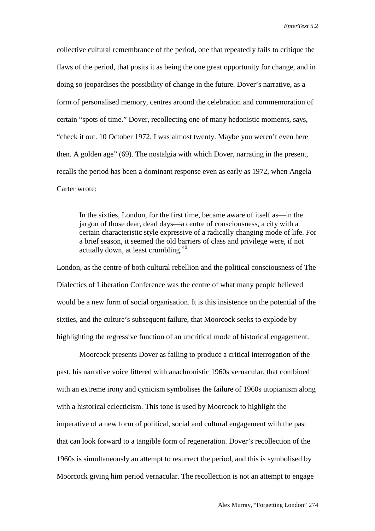collective cultural remembrance of the period, one that repeatedly fails to critique the flaws of the period, that posits it as being the one great opportunity for change, and in doing so jeopardises the possibility of change in the future. Dover's narrative, as a form of personalised memory, centres around the celebration and commemoration of certain "spots of time." Dover, recollecting one of many hedonistic moments, says, "check it out. 10 October 1972. I was almost twenty. Maybe you weren't even here then. A golden age" (69). The nostalgia with which Dover, narrating in the present, recalls the period has been a dominant response even as early as 1972, when Angela Carter wrote:

In the sixties, London, for the first time, became aware of itself as—in the jargon of those dear, dead days—a centre of consciousness, a city with a certain characteristic style expressive of a radically changing mode of life. For a brief season, it seemed the old barriers of class and privilege were, if not actually down, at least crumbling.[40](#page-28-35)

London, as the centre of both cultural rebellion and the political consciousness of The Dialectics of Liberation Conference was the centre of what many people believed would be a new form of social organisation. It is this insistence on the potential of the sixties, and the culture's subsequent failure, that Moorcock seeks to explode by highlighting the regressive function of an uncritical mode of historical engagement.

Moorcock presents Dover as failing to produce a critical interrogation of the past, his narrative voice littered with anachronistic 1960s vernacular, that combined with an extreme irony and cynicism symbolises the failure of 1960s utopianism along with a historical eclecticism. This tone is used by Moorcock to highlight the imperative of a new form of political, social and cultural engagement with the past that can look forward to a tangible form of regeneration. Dover's recollection of the 1960s is simultaneously an attempt to resurrect the period, and this is symbolised by Moorcock giving him period vernacular. The recollection is not an attempt to engage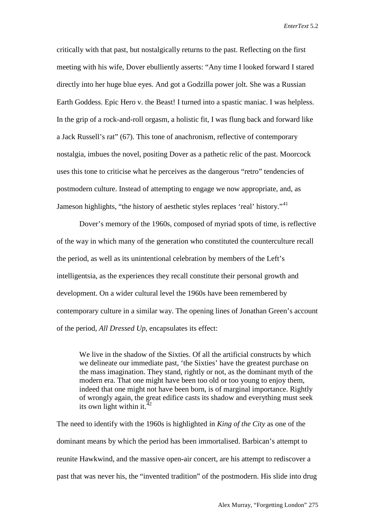critically with that past, but nostalgically returns to the past. Reflecting on the first meeting with his wife, Dover ebulliently asserts: "Any time I looked forward I stared directly into her huge blue eyes. And got a Godzilla power jolt. She was a Russian Earth Goddess. Epic Hero v. the Beast! I turned into a spastic maniac. I was helpless. In the grip of a rock-and-roll orgasm, a holistic fit, I was flung back and forward like a Jack Russell's rat" (67). This tone of anachronism, reflective of contemporary nostalgia, imbues the novel, positing Dover as a pathetic relic of the past. Moorcock uses this tone to criticise what he perceives as the dangerous "retro" tendencies of postmodern culture. Instead of attempting to engage we now appropriate, and, as Jameson highlights, "the history of aesthetic styles replaces 'real' history."<sup>[41](#page-28-36)</sup>

Dover's memory of the 1960s, composed of myriad spots of time, is reflective of the way in which many of the generation who constituted the counterculture recall the period, as well as its unintentional celebration by members of the Left's intelligentsia, as the experiences they recall constitute their personal growth and development. On a wider cultural level the 1960s have been remembered by contemporary culture in a similar way. The opening lines of Jonathan Green's account of the period, *All Dressed Up*, encapsulates its effect:

We live in the shadow of the Sixties. Of all the artificial constructs by which we delineate our immediate past, 'the Sixties' have the greatest purchase on the mass imagination. They stand, rightly or not, as the dominant myth of the modern era. That one might have been too old or too young to enjoy them, indeed that one might not have been born, is of marginal importance. Rightly of wrongly again, the great edifice casts its shadow and everything must seek its own light within it. $42$ 

The need to identify with the 1960s is highlighted in *King of the City* as one of the dominant means by which the period has been immortalised. Barbican's attempt to reunite Hawkwind, and the massive open-air concert, are his attempt to rediscover a past that was never his, the "invented tradition" of the postmodern. His slide into drug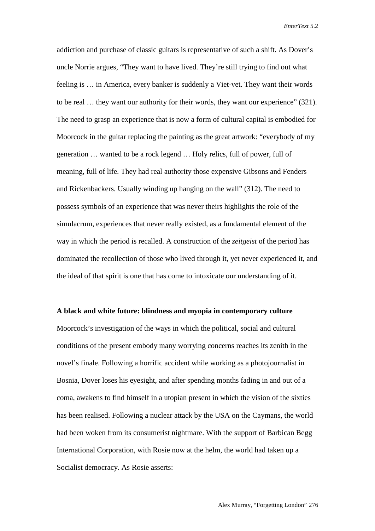addiction and purchase of classic guitars is representative of such a shift. As Dover's uncle Norrie argues, "They want to have lived. They're still trying to find out what feeling is … in America, every banker is suddenly a Viet-vet. They want their words to be real … they want our authority for their words, they want our experience" (321). The need to grasp an experience that is now a form of cultural capital is embodied for Moorcock in the guitar replacing the painting as the great artwork: "everybody of my generation … wanted to be a rock legend … Holy relics, full of power, full of meaning, full of life. They had real authority those expensive Gibsons and Fenders and Rickenbackers. Usually winding up hanging on the wall" (312). The need to possess symbols of an experience that was never theirs highlights the role of the simulacrum, experiences that never really existed, as a fundamental element of the way in which the period is recalled. A construction of the *zeitgeist* of the period has dominated the recollection of those who lived through it, yet never experienced it, and the ideal of that spirit is one that has come to intoxicate our understanding of it.

#### **A black and white future: blindness and myopia in contemporary culture**

Moorcock's investigation of the ways in which the political, social and cultural conditions of the present embody many worrying concerns reaches its zenith in the novel's finale. Following a horrific accident while working as a photojournalist in Bosnia, Dover loses his eyesight, and after spending months fading in and out of a coma, awakens to find himself in a utopian present in which the vision of the sixties has been realised. Following a nuclear attack by the USA on the Caymans, the world had been woken from its consumerist nightmare. With the support of Barbican Begg International Corporation, with Rosie now at the helm, the world had taken up a Socialist democracy. As Rosie asserts: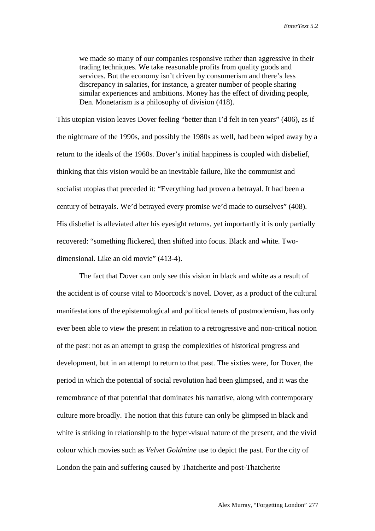we made so many of our companies responsive rather than aggressive in their trading techniques. We take reasonable profits from quality goods and services. But the economy isn't driven by consumerism and there's less discrepancy in salaries, for instance, a greater number of people sharing similar experiences and ambitions. Money has the effect of dividing people, Den. Monetarism is a philosophy of division (418).

This utopian vision leaves Dover feeling "better than I'd felt in ten years" (406), as if the nightmare of the 1990s, and possibly the 1980s as well, had been wiped away by a return to the ideals of the 1960s. Dover's initial happiness is coupled with disbelief, thinking that this vision would be an inevitable failure, like the communist and socialist utopias that preceded it: "Everything had proven a betrayal. It had been a century of betrayals. We'd betrayed every promise we'd made to ourselves" (408). His disbelief is alleviated after his eyesight returns, yet importantly it is only partially recovered: "something flickered, then shifted into focus. Black and white. Twodimensional. Like an old movie" (413-4).

The fact that Dover can only see this vision in black and white as a result of the accident is of course vital to Moorcock's novel. Dover, as a product of the cultural manifestations of the epistemological and political tenets of postmodernism, has only ever been able to view the present in relation to a retrogressive and non-critical notion of the past: not as an attempt to grasp the complexities of historical progress and development, but in an attempt to return to that past. The sixties were, for Dover, the period in which the potential of social revolution had been glimpsed, and it was the remembrance of that potential that dominates his narrative, along with contemporary culture more broadly. The notion that this future can only be glimpsed in black and white is striking in relationship to the hyper-visual nature of the present, and the vivid colour which movies such as *Velvet Goldmine* use to depict the past. For the city of London the pain and suffering caused by Thatcherite and post-Thatcherite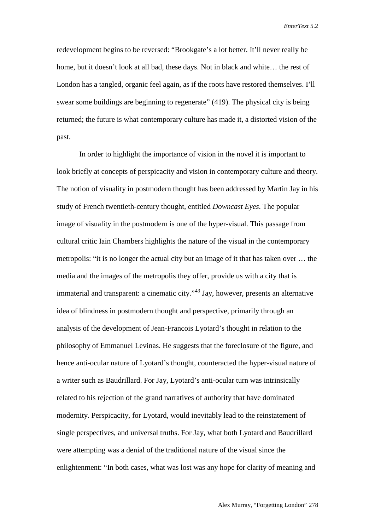redevelopment begins to be reversed: "Brookgate's a lot better. It'll never really be home, but it doesn't look at all bad, these days. Not in black and white… the rest of London has a tangled, organic feel again, as if the roots have restored themselves. I'll swear some buildings are beginning to regenerate" (419). The physical city is being returned; the future is what contemporary culture has made it, a distorted vision of the past.

In order to highlight the importance of vision in the novel it is important to look briefly at concepts of perspicacity and vision in contemporary culture and theory. The notion of visuality in postmodern thought has been addressed by Martin Jay in his study of French twentieth-century thought, entitled *Downcast Eyes*. The popular image of visuality in the postmodern is one of the hyper-visual. This passage from cultural critic Iain Chambers highlights the nature of the visual in the contemporary metropolis: "it is no longer the actual city but an image of it that has taken over … the media and the images of the metropolis they offer, provide us with a city that is immaterial and transparent: a cinematic city.<sup>[43](#page-28-37)</sup> Jay, however, presents an alternative idea of blindness in postmodern thought and perspective, primarily through an analysis of the development of Jean-Francois Lyotard's thought in relation to the philosophy of Emmanuel Levinas. He suggests that the foreclosure of the figure, and hence anti-ocular nature of Lyotard's thought, counteracted the hyper-visual nature of a writer such as Baudrillard. For Jay, Lyotard's anti-ocular turn was intrinsically related to his rejection of the grand narratives of authority that have dominated modernity. Perspicacity, for Lyotard, would inevitably lead to the reinstatement of single perspectives, and universal truths. For Jay, what both Lyotard and Baudrillard were attempting was a denial of the traditional nature of the visual since the enlightenment: "In both cases, what was lost was any hope for clarity of meaning and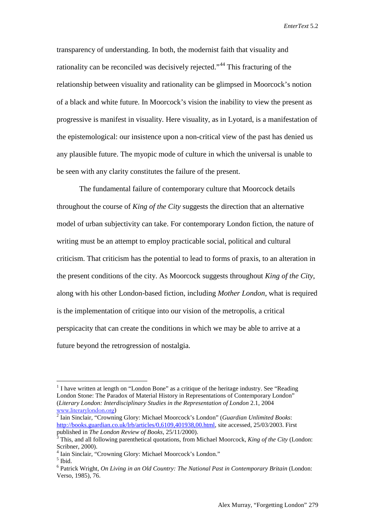transparency of understanding. In both, the modernist faith that visuality and rationality can be reconciled was decisively rejected."[44](#page-28-38) This fracturing of the relationship between visuality and rationality can be glimpsed in Moorcock's notion of a black and white future. In Moorcock's vision the inability to view the present as progressive is manifest in visuality. Here visuality, as in Lyotard, is a manifestation of the epistemological: our insistence upon a non-critical view of the past has denied us any plausible future. The myopic mode of culture in which the universal is unable to be seen with any clarity constitutes the failure of the present.

The fundamental failure of contemporary culture that Moorcock details throughout the course of *King of the City* suggests the direction that an alternative model of urban subjectivity can take. For contemporary London fiction, the nature of writing must be an attempt to employ practicable social, political and cultural criticism. That criticism has the potential to lead to forms of praxis, to an alteration in the present conditions of the city. As Moorcock suggests throughout *King of the City*, along with his other London-based fiction, including *Mother London*, what is required is the implementation of critique into our vision of the metropolis, a critical perspicacity that can create the conditions in which we may be able to arrive at a future beyond the retrogression of nostalgia.

<sup>&</sup>lt;sup>1</sup> I have written at length on "London Bone" as a critique of the heritage industry. See "Reading" London Stone: The Paradox of Material History in Representations of Contemporary London" (*Literary London: Interdisciplinary Studies in the Representation of London* 2.1, 2004 [www.literarylondon.org](http://www.literarylondon.org/)) <sup>2</sup> Iain Sinclair, "Crowning Glory: Michael Moorcock's London" (*Guardian Unlimited Books*:

[http://books.guardian.co.uk/lrb/articles/0,6109,401938,00.html,](http://books.guardian.co.uk/lrb/articles/0,6109,401938,00.html) site accessed, 25/03/2003. First published in *The London Review of Books*, 25/11/2000).

published in *The London Review of Books*, 25/11/2000). 3 This, and all following parenthetical quotations, from Michael Moorcock, *King of the City* (London: Scribner, 2000).

<sup>&</sup>lt;sup>4</sup> Iain Sinclair, "Crowning Glory: Michael Moorcock's London."<br><sup>5</sup> Ibid

<sup>6</sup> Patrick Wright*, On Living in an Old Country: The National Past in Contemporary Britain* (London: Verso, 1985), 76.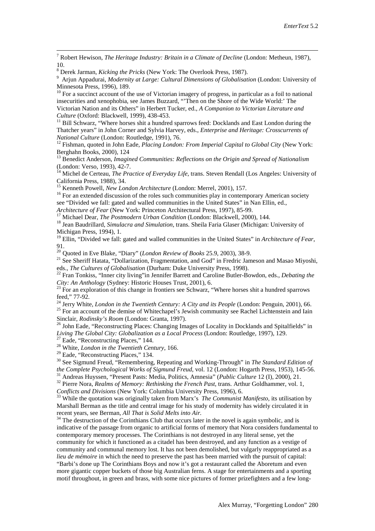7 Robert Hewison, *The Heritage Industry: Britain in a Climate of Decline* (London: Metheun, 1987), 10.

<sup>8</sup> Derek Jarman, *Kicking the Pricks* (New York: The Overlook Press, 1987).

 Arjun Appadurai, *Modernity at Large: Cultural Dimensions of Globalisation* (London: University of Minnesota Press, 1996), 189.

 $10$  For a succinct account of the use of Victorian imagery of progress, in particular as a foil to national insecurities and xenophobia, see James Buzzard, "'Then on the Shore of the Wide World:' The Victorian Nation and its Others" in Herbert Tucker, ed., *A Companion to Victorian Literature and* 

<sup>11</sup> Bill Schwarz, "Where horses shit a hundred sparrows feed: Docklands and East London during the Thatcher years" in John Corner and Sylvia Harvey, eds., *Enterprise and Heritage: Crosscurrents of National Culture* (London: Routledge, 1991), 76.<br><sup>12</sup> Fishman, quoted in John Eade, *Placing London: From Imperial Capital to Global City* (New York:

Berghahn Books, 2000), 124

<sup>13</sup> Benedict Anderson, *Imagined Communities: Reflections on the Origin and Spread of Nationalism* (London: Verso, 1993), 42-7.

<sup>14</sup> Michel de Certeau, *The Practice of Everyday Life*, trans. Steven Rendall (Los Angeles: University of California Press, 1988), 34.<br><sup>15</sup> Kenneth Powell, *New London Architecture* (London: Merrel, 2001), 157.

<sup>16</sup> For an extended discussion of the roles such communities play in contemporary American society see "Divided we fall: gated and walled communities in the United States" in Nan Ellin, ed., Architecture of Fear (New York: Princeton Architectural Press, 1997), 85-99.

<sup>17</sup> Michael Dear, *The Postmodern Urban Condition* (London: Blackwell, 2000), 144.<br><sup>18</sup> Jean Baudrillard, *Simulacra and Simulation*, trans. Sheila Faria Glaser (Michigan: University of Michigan Press, 1994), 1.

<sup>19</sup> Ellin, "Divided we fall: gated and walled communities in the United States" in *Architecture of Fear*, 91.<br><sup>20</sup> Quoted in Eve Blake, "Diary" (*London Review of Books* 25.9, 2003), 38-9.

<sup>21</sup> See Sheriff Hatata, "Dollarization, Fragmentation, and God" in Fredric Jameson and Masao Miyoshi, eds., *The Cultures of Globalisation* (Durham: Duke University Press, 1998).

<sup>22</sup> Fran Tonkiss, "Inner city living"in Jennifer Barrett and Caroline Butler-Bowdon, eds., *Debating the City: An Anthology* (Sydney: Historic Houses Trust, 2001), 6.

<sup>23</sup> For an exploration of this change in frontiers see Schwarz, "Where horses shit a hundred sparrows feed," 77-92.

<sup>24</sup> Jerry White, *London in the Twentieth Century: A City and its People* (London: Penguin, 2001), 66. <sup>25</sup> For an account of the demise of Whitechapel's Jewish community see Rachel Lichtenstein and Iain

Sinclair, *Rodinsky's Room* (London: Granta, 1997).<br><sup>26</sup> John Eade, "Reconstructing Places: Changing Images of Locality in Docklands and Spitalfields" in *Living The Global City: Globalization as a Local Process* (London: Routledge, 1997), 129.<br><sup>27</sup> Eade, "Reconstructing Places," 144.<br><sup>28</sup> White, *London in the Twentieth Century*, 166.<br><sup>29</sup> Eade. "Reconstructing Places," 13

<sup>30</sup> See Sigmund Freud, "Remembering, Repeating and Working-Through" in *The Standard Edition of the Complete Psychological Works of Sigmund Freud*, vol. 12 (London: Hogarth Press, 1953), 145-56.

<sup>31</sup> Andreas Huyssen, "Present Pasts: Media, Politics, Amnesia" (*Public Culture* 12 (I), 2000), 21.<br><sup>32</sup> Pierre Nora, *Realms of Memory: Rethinking the French Past*, trans. Arthur Goldhammer, vol. 1, *Conflicts and Divis* 

<span id="page-27-0"></span><sup>33</sup> While the quotation was originally taken from Marx's *The Communist Manifesto*, its utilisation by Marshall Berman as the title and central image for his study of modernity has widely circulated it in recent years, see Berman, *All That is Solid Melts into Air*.<br><sup>34</sup> The destruction of the Corinthians Club that occurs later in the novel is again symbolic, and is

indicative of the passage from organic to artificial forms of memory that Nora considers fundamental to contemporary memory processes. The Corinthians is not destroyed in any literal sense, yet the community for which it functioned as a citadel has been destroyed, and any function as a vestige of community and communal memory lost. It has not been demolished, but vulgarly reappropriated as a *lieu de mémoire* in which the need to preserve the past has been married with the pursuit of capital: "Barbi's done up The Corinthians Boys and now it's got a restaurant called the Aboretum and even more gigantic copper buckets of those big Australian ferns. A stage for entertainments and a sporting motif throughout, in green and brass, with some nice pictures of former prizefighters and a few long